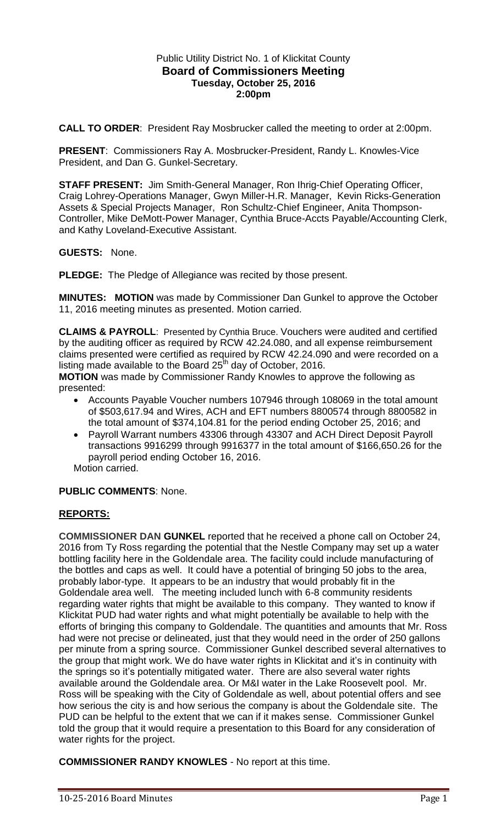## Public Utility District No. 1 of Klickitat County **Board of Commissioners Meeting Tuesday, October 25, 2016 2:00pm**

**CALL TO ORDER**: President Ray Mosbrucker called the meeting to order at 2:00pm.

**PRESENT**: Commissioners Ray A. Mosbrucker-President, Randy L. Knowles-Vice President, and Dan G. Gunkel-Secretary.

**STAFF PRESENT:** Jim Smith-General Manager, Ron Ihrig-Chief Operating Officer, Craig Lohrey-Operations Manager, Gwyn Miller-H.R. Manager, Kevin Ricks-Generation Assets & Special Projects Manager, Ron Schultz-Chief Engineer, Anita Thompson-Controller, Mike DeMott-Power Manager, Cynthia Bruce-Accts Payable/Accounting Clerk, and Kathy Loveland-Executive Assistant.

**GUESTS:** None.

**PLEDGE:** The Pledge of Allegiance was recited by those present.

**MINUTES: MOTION** was made by Commissioner Dan Gunkel to approve the October 11, 2016 meeting minutes as presented. Motion carried.

**CLAIMS & PAYROLL**: Presented by Cynthia Bruce. Vouchers were audited and certified by the auditing officer as required by RCW 42.24.080, and all expense reimbursement claims presented were certified as required by RCW 42.24.090 and were recorded on a listing made available to the Board 25<sup>th</sup> day of October, 2016.

**MOTION** was made by Commissioner Randy Knowles to approve the following as presented:

- Accounts Payable Voucher numbers 107946 through 108069 in the total amount of \$503,617.94 and Wires, ACH and EFT numbers 8800574 through 8800582 in the total amount of \$374,104.81 for the period ending October 25, 2016; and
- Payroll Warrant numbers 43306 through 43307 and ACH Direct Deposit Payroll transactions 9916299 through 9916377 in the total amount of \$166,650.26 for the payroll period ending October 16, 2016.

Motion carried.

## **PUBLIC COMMENTS**: None.

## **REPORTS:**

**COMMISSIONER DAN GUNKEL** reported that he received a phone call on October 24, 2016 from Ty Ross regarding the potential that the Nestle Company may set up a water bottling facility here in the Goldendale area. The facility could include manufacturing of the bottles and caps as well. It could have a potential of bringing 50 jobs to the area, probably labor-type. It appears to be an industry that would probably fit in the Goldendale area well. The meeting included lunch with 6-8 community residents regarding water rights that might be available to this company. They wanted to know if Klickitat PUD had water rights and what might potentially be available to help with the efforts of bringing this company to Goldendale. The quantities and amounts that Mr. Ross had were not precise or delineated, just that they would need in the order of 250 gallons per minute from a spring source. Commissioner Gunkel described several alternatives to the group that might work. We do have water rights in Klickitat and it's in continuity with the springs so it's potentially mitigated water. There are also several water rights available around the Goldendale area. Or M&I water in the Lake Roosevelt pool. Mr. Ross will be speaking with the City of Goldendale as well, about potential offers and see how serious the city is and how serious the company is about the Goldendale site. The PUD can be helpful to the extent that we can if it makes sense. Commissioner Gunkel told the group that it would require a presentation to this Board for any consideration of water rights for the project.

**COMMISSIONER RANDY KNOWLES** - No report at this time.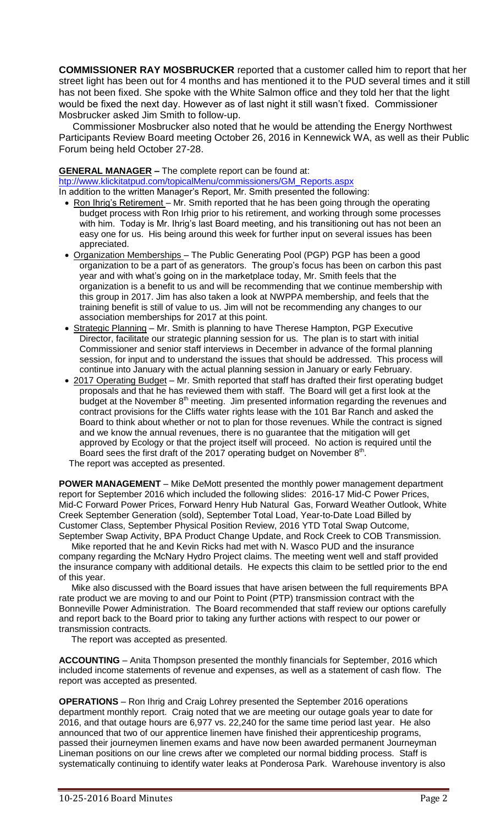**COMMISSIONER RAY MOSBRUCKER** reported that a customer called him to report that her street light has been out for 4 months and has mentioned it to the PUD several times and it still has not been fixed. She spoke with the White Salmon office and they told her that the light would be fixed the next day. However as of last night it still wasn't fixed. Commissioner Mosbrucker asked Jim Smith to follow-up.

 Commissioner Mosbrucker also noted that he would be attending the Energy Northwest Participants Review Board meeting October 26, 2016 in Kennewick WA, as well as their Public Forum being held October 27-28.

#### **GENERAL MANAGER –** The complete report can be found at:

[htp://www.klickitatpud.com/topicalMenu/commissioners/GM\\_Reports.aspx](http://www.klickitatpud.com/topicalMenu/commissioners/GM_Reports.aspx)

In addition to the written Manager's Report, Mr. Smith presented the following:

- Ron Ihrig's Retirement Mr. Smith reported that he has been going through the operating budget process with Ron Irhig prior to his retirement, and working through some processes with him. Today is Mr. Ihrig's last Board meeting, and his transitioning out has not been an easy one for us. His being around this week for further input on several issues has been appreciated.
- Organization Memberships The Public Generating Pool (PGP) PGP has been a good organization to be a part of as generators. The group's focus has been on carbon this past year and with what's going on in the marketplace today, Mr. Smith feels that the organization is a benefit to us and will be recommending that we continue membership with this group in 2017. Jim has also taken a look at NWPPA membership, and feels that the training benefit is still of value to us. Jim will not be recommending any changes to our association memberships for 2017 at this point.
- Strategic Planning Mr. Smith is planning to have Therese Hampton, PGP Executive Director, facilitate our strategic planning session for us. The plan is to start with initial Commissioner and senior staff interviews in December in advance of the formal planning session, for input and to understand the issues that should be addressed. This process will continue into January with the actual planning session in January or early February.
- 2017 Operating Budget Mr. Smith reported that staff has drafted their first operating budget proposals and that he has reviewed them with staff. The Board will get a first look at the budget at the November  $8<sup>th</sup>$  meeting. Jim presented information regarding the revenues and contract provisions for the Cliffs water rights lease with the 101 Bar Ranch and asked the Board to think about whether or not to plan for those revenues. While the contract is signed and we know the annual revenues, there is no guarantee that the mitigation will get approved by Ecology or that the project itself will proceed. No action is required until the Board sees the first draft of the 2017 operating budget on November  $8<sup>th</sup>$ .

The report was accepted as presented.

**POWER MANAGEMENT** – Mike DeMott presented the monthly power management department report for September 2016 which included the following slides: 2016-17 Mid-C Power Prices, Mid-C Forward Power Prices, Forward Henry Hub Natural Gas, Forward Weather Outlook, White Creek September Generation (sold), September Total Load, Year-to-Date Load Billed by Customer Class, September Physical Position Review, 2016 YTD Total Swap Outcome, September Swap Activity, BPA Product Change Update, and Rock Creek to COB Transmission.

 Mike reported that he and Kevin Ricks had met with N. Wasco PUD and the insurance company regarding the McNary Hydro Project claims. The meeting went well and staff provided the insurance company with additional details. He expects this claim to be settled prior to the end of this year.

 Mike also discussed with the Board issues that have arisen between the full requirements BPA rate product we are moving to and our Point to Point (PTP) transmission contract with the Bonneville Power Administration. The Board recommended that staff review our options carefully and report back to the Board prior to taking any further actions with respect to our power or transmission contracts.

The report was accepted as presented.

**ACCOUNTING** – Anita Thompson presented the monthly financials for September, 2016 which included income statements of revenue and expenses, as well as a statement of cash flow. The report was accepted as presented.

**OPERATIONS** – Ron Ihrig and Craig Lohrey presented the September 2016 operations department monthly report. Craig noted that we are meeting our outage goals year to date for 2016, and that outage hours are 6,977 vs. 22,240 for the same time period last year. He also announced that two of our apprentice linemen have finished their apprenticeship programs, passed their journeymen linemen exams and have now been awarded permanent Journeyman Lineman positions on our line crews after we completed our normal bidding process. Staff is systematically continuing to identify water leaks at Ponderosa Park. Warehouse inventory is also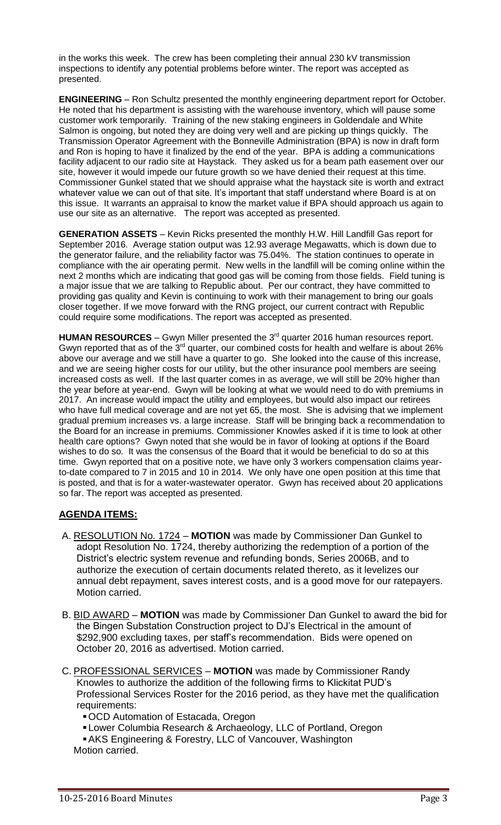in the works this week. The crew has been completing their annual 230 kV transmission inspections to identify any potential problems before winter. The report was accepted as presented.

**ENGINEERING** – Ron Schultz presented the monthly engineering department report for October. He noted that his department is assisting with the warehouse inventory, which will pause some customer work temporarily. Training of the new staking engineers in Goldendale and White Salmon is ongoing, but noted they are doing very well and are picking up things quickly. The Transmission Operator Agreement with the Bonneville Administration (BPA) is now in draft form and Ron is hoping to have it finalized by the end of the year. BPA is adding a communications facility adjacent to our radio site at Haystack. They asked us for a beam path easement over our site, however it would impede our future growth so we have denied their request at this time. Commissioner Gunkel stated that we should appraise what the haystack site is worth and extract whatever value we can out of that site. It's important that staff understand where Board is at on this issue. It warrants an appraisal to know the market value if BPA should approach us again to use our site as an alternative. The report was accepted as presented.

**GENERATION ASSETS** – Kevin Ricks presented the monthly H.W. Hill Landfill Gas report for September 2016. Average station output was 12.93 average Megawatts, which is down due to the generator failure, and the reliability factor was 75.04%. The station continues to operate in compliance with the air operating permit. New wells in the landfill will be coming online within the next 2 months which are indicating that good gas will be coming from those fields. Field tuning is a major issue that we are talking to Republic about. Per our contract, they have committed to providing gas quality and Kevin is continuing to work with their management to bring our goals closer together. If we move forward with the RNG project, our current contract with Republic could require some modifications. The report was accepted as presented.

HUMAN RESOURCES – Gwyn Miller presented the 3<sup>rd</sup> quarter 2016 human resources report. Gwyn reported that as of the 3<sup>rd</sup> quarter, our combined costs for health and welfare is about 26% above our average and we still have a quarter to go. She looked into the cause of this increase, and we are seeing higher costs for our utility, but the other insurance pool members are seeing increased costs as well. If the last quarter comes in as average, we will still be 20% higher than the year before at year-end. Gwyn will be looking at what we would need to do with premiums in 2017. An increase would impact the utility and employees, but would also impact our retirees who have full medical coverage and are not yet 65, the most. She is advising that we implement gradual premium increases vs. a large increase. Staff will be bringing back a recommendation to the Board for an increase in premiums. Commissioner Knowles asked if it is time to look at other health care options? Gwyn noted that she would be in favor of looking at options if the Board wishes to do so. It was the consensus of the Board that it would be beneficial to do so at this time. Gwyn reported that on a positive note, we have only 3 workers compensation claims yearto-date compared to 7 in 2015 and 10 in 2014. We only have one open position at this time that is posted, and that is for a water-wastewater operator. Gwyn has received about 20 applications so far. The report was accepted as presented.

# **AGENDA ITEMS:**

- A. RESOLUTION No. 1724 **MOTION** was made by Commissioner Dan Gunkel to adopt Resolution No. 1724, thereby authorizing the redemption of a portion of the District's electric system revenue and refunding bonds, Series 2006B, and to authorize the execution of certain documents related thereto, as it levelizes our annual debt repayment, saves interest costs, and is a good move for our ratepayers. Motion carried.
- B. BID AWARD **MOTION** was made by Commissioner Dan Gunkel to award the bid for the Bingen Substation Construction project to DJ's Electrical in the amount of \$292,900 excluding taxes, per staff's recommendation. Bids were opened on October 20, 2016 as advertised. Motion carried.
- C. PROFESSIONAL SERVICES **MOTION** was made by Commissioner Randy Knowles to authorize the addition of the following firms to Klickitat PUD's Professional Services Roster for the 2016 period, as they have met the qualification requirements:
	- OCD Automation of Estacada, Oregon
	- Lower Columbia Research & Archaeology, LLC of Portland, Oregon
	- AKS Engineering & Forestry, LLC of Vancouver, Washington Motion carried.